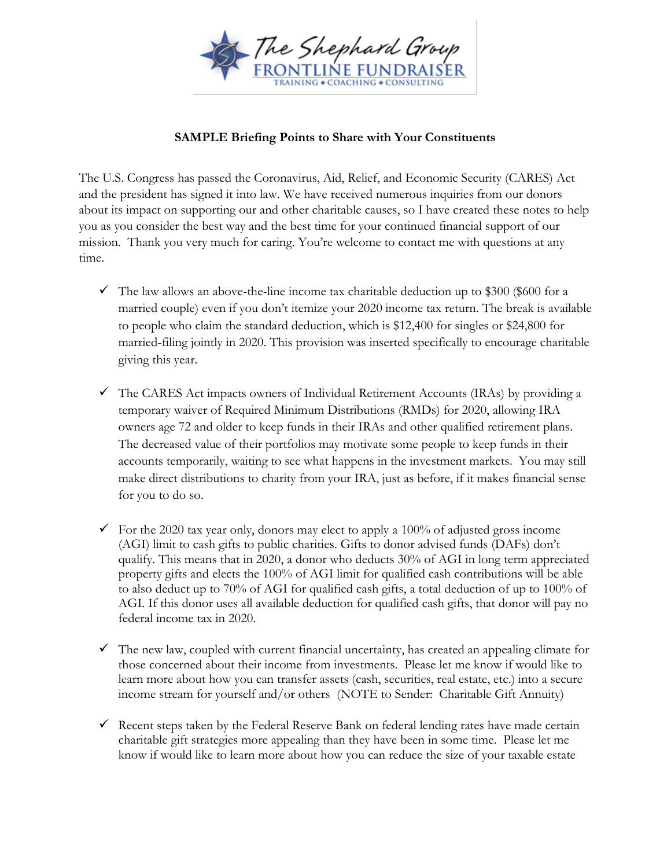

## **SAMPLE Briefing Points to Share with Your Constituents**

The U.S. Congress has passed the Coronavirus, Aid, Relief, and Economic Security (CARES) Act and the president has signed it into law. We have received numerous inquiries from our donors about its impact on supporting our and other charitable causes, so I have created these notes to help you as you consider the best way and the best time for your continued financial support of our mission. Thank you very much for caring. You're welcome to contact me with questions at any time.

- $\checkmark$  The law allows an above-the-line income tax charitable deduction up to \$300 (\$600 for a married couple) even if you don't itemize your 2020 income tax return. The break is available to people who claim the standard deduction, which is \$12,400 for singles or \$24,800 for married-filing jointly in 2020. This provision was inserted specifically to encourage charitable giving this year.
- $\checkmark$  The CARES Act impacts owners of Individual Retirement Accounts (IRAs) by providing a temporary waiver of Required Minimum Distributions (RMDs) for 2020, allowing IRA owners age 72 and older to keep funds in their IRAs and other qualified retirement plans. The decreased value of their portfolios may motivate some people to keep funds in their accounts temporarily, waiting to see what happens in the investment markets. You may still make direct distributions to charity from your IRA, just as before, if it makes financial sense for you to do so.
- $\checkmark$  For the 2020 tax year only, donors may elect to apply a 100% of adjusted gross income (AGI) limit to cash gifts to public charities. Gifts to donor advised funds (DAFs) don't qualify. This means that in 2020, a donor who deducts 30% of AGI in long term appreciated property gifts and elects the 100% of AGI limit for qualified cash contributions will be able to also deduct up to 70% of AGI for qualified cash gifts, a total deduction of up to 100% of AGI. If this donor uses all available deduction for qualified cash gifts, that donor will pay no federal income tax in 2020.
- $\checkmark$  The new law, coupled with current financial uncertainty, has created an appealing climate for those concerned about their income from investments. Please let me know if would like to learn more about how you can transfer assets (cash, securities, real estate, etc.) into a secure income stream for yourself and/or others (NOTE to Sender: Charitable Gift Annuity)
- $\checkmark$  Recent steps taken by the Federal Reserve Bank on federal lending rates have made certain charitable gift strategies more appealing than they have been in some time. Please let me know if would like to learn more about how you can reduce the size of your taxable estate